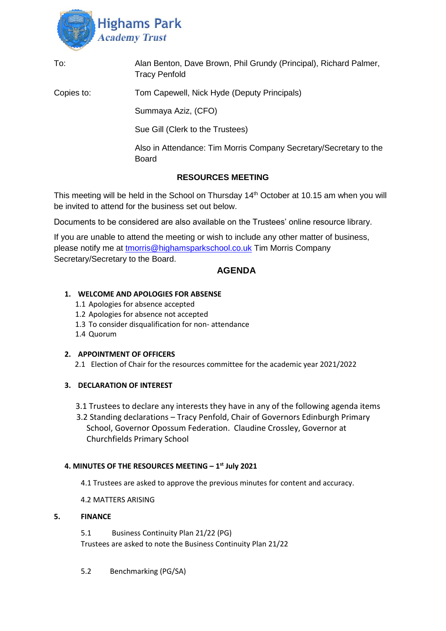

| To:                      | Alan Benton, Dave Brown, Phil Grundy (Principal), Richard Palmer,<br><b>Tracy Penfold</b> |
|--------------------------|-------------------------------------------------------------------------------------------|
| Copies to:               | Tom Capewell, Nick Hyde (Deputy Principals)                                               |
|                          | Summaya Aziz, (CFO)                                                                       |
|                          | Sue Gill (Clerk to the Trustees)                                                          |
|                          | Also in Attendance: Tim Morris Company Secretary/Secretary to the<br>Board                |
| <b>RESOURCES MEETING</b> |                                                                                           |

This meeting will be held in the School on Thursday 14<sup>th</sup> October at 10.15 am when you will be invited to attend for the business set out below.

Documents to be considered are also available on the Trustees' online resource library.

If you are unable to attend the meeting or wish to include any other matter of business, please notify me at [tmorris@highamsparkschool.co.uk](mailto:tmorris@highamsparkschool.co.uk) Tim Morris Company Secretary/Secretary to the Board.

# **AGENDA**

### **1. WELCOME AND APOLOGIES FOR ABSENSE**

- 1.1 Apologies for absence accepted
- 1.2 Apologies for absence not accepted
- 1.3 To consider disqualification for non- attendance
- 1.4 Quorum

#### **2. APPOINTMENT OF OFFICERS**

2.1 Election of Chair for the resources committee for the academic year 2021/2022

### **3. DECLARATION OF INTEREST**

- 3.1 Trustees to declare any interests they have in any of the following agenda items
- 3.2 Standing declarations Tracy Penfold, Chair of Governors Edinburgh Primary School, Governor Opossum Federation. Claudine Crossley, Governor at Churchfields Primary School

### **4. MINUTES OF THE RESOURCES MEETING – 1 st July 2021**

- 4.1 Trustees are asked to approve the previous minutes for content and accuracy.
- 4.2 MATTERS ARISING

### **5. FINANCE**

5.1 Business Continuity Plan 21/22 (PG) Trustees are asked to note the Business Continuity Plan 21/22

5.2 Benchmarking (PG/SA)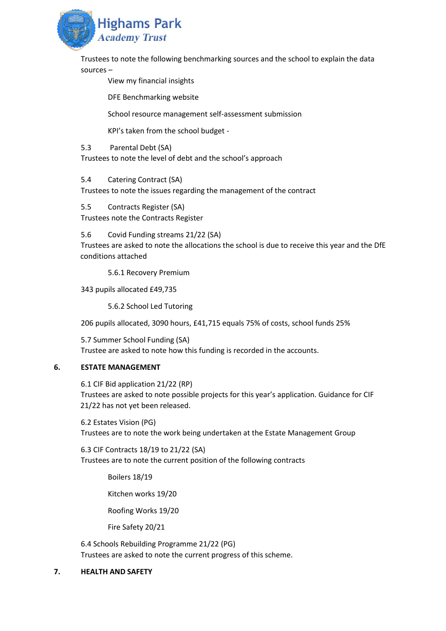

Trustees to note the following benchmarking sources and the school to explain the data sources –

View my financial insights

DFE Benchmarking website

School resource management self-assessment submission

KPI's taken from the school budget -

5.3 Parental Debt (SA)

Trustees to note the level of debt and the school's approach

5.4 Catering Contract (SA)

Trustees to note the issues regarding the management of the contract

5.5 Contracts Register (SA) Trustees note the Contracts Register

5.6 Covid Funding streams 21/22 (SA)

Trustees are asked to note the allocations the school is due to receive this year and the DfE conditions attached

5.6.1 Recovery Premium

343 pupils allocated £49,735

5.6.2 School Led Tutoring

206 pupils allocated, 3090 hours, £41,715 equals 75% of costs, school funds 25%

5.7 Summer School Funding (SA) Trustee are asked to note how this funding is recorded in the accounts.

# **6. ESTATE MANAGEMENT**

6.1 CIF Bid application 21/22 (RP)

Trustees are asked to note possible projects for this year's application. Guidance for CIF 21/22 has not yet been released.

6.2 Estates Vision (PG) Trustees are to note the work being undertaken at the Estate Management Group

6.3 CIF Contracts 18/19 to 21/22 (SA) Trustees are to note the current position of the following contracts

Boilers 18/19

Kitchen works 19/20

Roofing Works 19/20

Fire Safety 20/21

6.4 Schools Rebuilding Programme 21/22 (PG) Trustees are asked to note the current progress of this scheme.

# **7. HEALTH AND SAFETY**